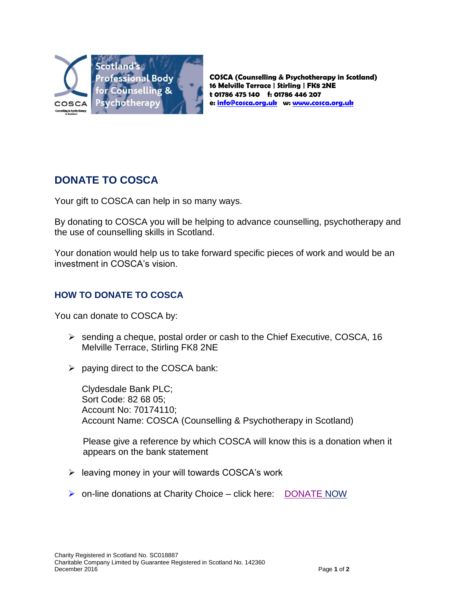

**COSCA (Counselling & Psychotherapy in Scotland) 16 Melville Terrace | Stirling | FK8 2NE t 01786 475 140 f: 01786 446 207 e[: info@cosca.org.uk](mailto:info@cosca.org.uk) w: [www.cosca.org.uk](http://www.cosca.org.uk/)**

# **DONATE TO COSCA**

Your gift to COSCA can help in so many ways.

By donating to COSCA you will be helping to advance counselling, psychotherapy and the use of counselling skills in Scotland.

Your donation would help us to take forward specific pieces of work and would be an investment in COSCA's vision.

## **HOW TO DONATE TO COSCA**

You can donate to COSCA by:

- $\triangleright$  sending a cheque, postal order or cash to the Chief Executive, COSCA, 16 Melville Terrace, Stirling FK8 2NE
- $\triangleright$  paying direct to the COSCA bank:

Clydesdale Bank PLC; Sort Code: 82 68 05; Account No: 70174110; Account Name: COSCA (Counselling & Psychotherapy in Scotland)

Please give a reference by which COSCA will know this is a donation when it appears on the bank statement

- $\triangleright$  leaving money in your will towards COSCA's work
- $\triangleright$  on-line donations at Charity Choice click here: [DONATE](https://www.charitychoice.co.uk/donation.asp?ref=6288) NOW